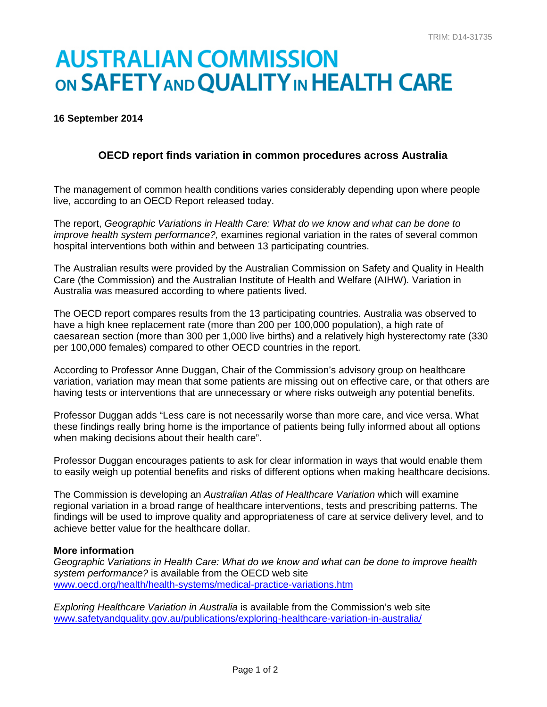# **AUSTRALIAN COMMISSION** ON SAFETY AND QUALITY IN HEALTH CARE

#### **16 September 2014**

## **OECD report finds variation in common procedures across Australia**

The management of common health conditions varies considerably depending upon where people live, according to an OECD Report released today.

The report, *Geographic Variations in Health Care: What do we know and what can be done to improve health system performance?,* examines regional variation in the rates of several common hospital interventions both within and between 13 participating countries.

The Australian results were provided by the Australian Commission on Safety and Quality in Health Care (the Commission) and the Australian Institute of Health and Welfare (AIHW)*.* Variation in Australia was measured according to where patients lived.

The OECD report compares results from the 13 participating countries. Australia was observed to have a high knee replacement rate (more than 200 per 100,000 population), a high rate of caesarean section (more than 300 per 1,000 live births) and a relatively high hysterectomy rate (330 per 100,000 females) compared to other OECD countries in the report.

According to Professor Anne Duggan, Chair of the Commission's advisory group on healthcare variation, variation may mean that some patients are missing out on effective care, or that others are having tests or interventions that are unnecessary or where risks outweigh any potential benefits.

Professor Duggan adds "Less care is not necessarily worse than more care, and vice versa. What these findings really bring home is the importance of patients being fully informed about all options when making decisions about their health care".

Professor Duggan encourages patients to ask for clear information in ways that would enable them to easily weigh up potential benefits and risks of different options when making healthcare decisions.

The Commission is developing an *Australian Atlas of Healthcare Variation* which will examine regional variation in a broad range of healthcare interventions, tests and prescribing patterns. The findings will be used to improve quality and appropriateness of care at service delivery level, and to achieve better value for the healthcare dollar.

#### **More information**

*Geographic Variations in Health Care: What do we know and what can be done to improve health system performance?* is available from the OECD web site [www.oecd.org/health/health-systems/medical-practice-variations.htm](http://www.oecd.org/health/health-systems/medical-practice-variations.htm)

*Exploring Healthcare Variation in Australia* is available from the Commission's web site [www.safetyandquality.gov.au/publications/exploring-healthcare-variation-in-australia/](http://www.safetyandquality.gov.au/publications/exploring-healthcare-variation-in-australia/)